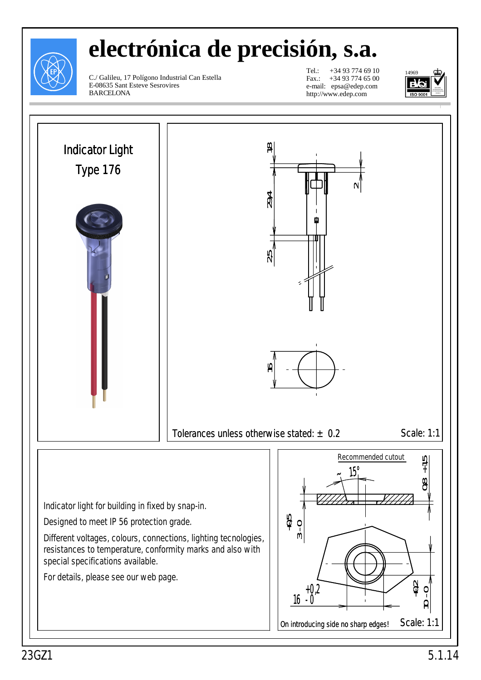

# **electrónica de precisión, s.a.**

C./ Galileu, 17 Polígono Industrial Can Estella E-08635 Sant Esteve Sesrovires BARCELONA

Tel.: +34 93 774 69 10 Fax.: +34 93 774 65 00 e-mail: epsa@edep.com http://www.edep.com